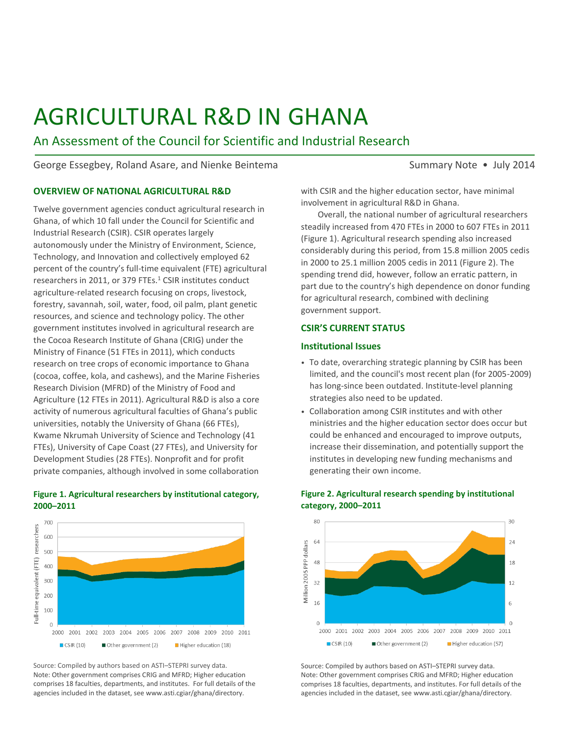# AGRICULTURAL R&D IN GHANA

An Assessment of the Council for Scientific and Industrial Research

George Essegbey, Roland Asare, and Nienke Beintema Summary Note • July 2014

# **OVERVIEW OF NATIONAL AGRICULTURAL R&D**

Twelve government agencies conduct agricultural research in Ghana, of which 10 fall under the Council for Scientific and Industrial Research (CSIR). CSIR operates largely autonomously under the Ministry of Environment, Science, Technology, and Innovation and collectively employed 62 percent of the country's full-time equivalent (FTE) agricultural researchers in 2011, or 379 FTEs. $<sup>1</sup>$  CSIR institutes conduct</sup> agriculture-related research focusing on crops, livestock, forestry, savannah, soil, water, food, oil palm, plant genetic resources, and science and technology policy. The other government institutes involved in agricultural research are the Cocoa Research Institute of Ghana (CRIG) under the Ministry of Finance (51 FTEs in 2011), which conducts research on tree crops of economic importance to Ghana (cocoa, coffee, kola, and cashews), and the Marine Fisheries Research Division (MFRD) of the Ministry of Food and Agriculture (12 FTEs in 2011). Agricultural R&D is also a core activity of numerous agricultural faculties of Ghana's public universities, notably the University of Ghana (66 FTEs), Kwame Nkrumah University of Science and Technology (41 FTEs), University of Cape Coast (27 FTEs), and University for Development Studies (28 FTEs). Nonprofit and for profit private companies, although involved in some collaboration

#### **Figure 1. Agricultural researchers by institutional category, 2000–2011**



Source: Compiled by authors based on ASTI–STEPRI survey data. Note: Other government comprises CRIG and MFRD; Higher education comprises 18 faculties, departments, and institutes. For full details of the agencies included in the dataset, see www.asti.cgiar/ghana/directory.

with CSIR and the higher education sector, have minimal involvement in agricultural R&D in Ghana.

Overall, the national number of agricultural researchers steadily increased from 470 FTEs in 2000 to 607 FTEs in 2011 (Figure 1). Agricultural research spending also increased considerably during this period, from 15.8 million 2005 cedis in 2000 to 25.1 million 2005 cedis in 2011 (Figure 2). The spending trend did, however, follow an erratic pattern, in part due to the country's high dependence on donor funding for agricultural research, combined with declining government support.

# **CSIR'S CURRENT STATUS**

#### **Institutional Issues**

- To date, overarching strategic planning by CSIR has been limited, and the council's most recent plan (for 2005-2009) has long-since been outdated. Institute-level planning strategies also need to be updated.
- Collaboration among CSIR institutes and with other ministries and the higher education sector does occur but could be enhanced and encouraged to improve outputs, increase their dissemination, and potentially support the institutes in developing new funding mechanisms and generating their own income.



#### **Figure 2. Agricultural research spending by institutional category, 2000–2011**

Source: Compiled by authors based on ASTI–STEPRI survey data. Note: Other government comprises CRIG and MFRD; Higher education comprises 18 faculties, departments, and institutes. For full details of the agencies included in the dataset, see www.asti.cgiar/ghana/directory.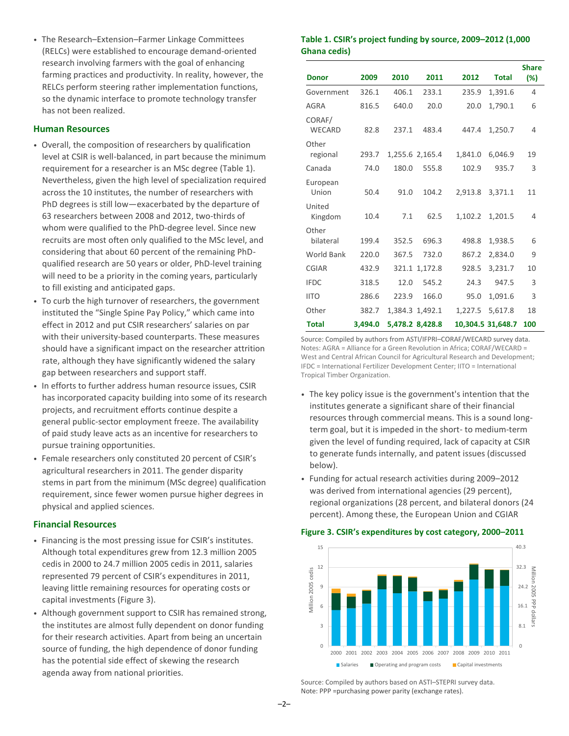• The Research–Extension–Farmer Linkage Committees (RELCs) were established to encourage demand-oriented research involving farmers with the goal of enhancing farming practices and productivity. In reality, however, the RELCs perform steering rather implementation functions, so the dynamic interface to promote technology transfer has not been realized.

# **Human Resources**

- Overall, the composition of researchers by qualification level at CSIR is well-balanced, in part because the minimum requirement for a researcher is an MSc degree (Table 1). Nevertheless, given the high level of specialization required across the 10 institutes, the number of researchers with PhD degrees is still low—exacerbated by the departure of 63 researchers between 2008 and 2012, two-thirds of whom were qualified to the PhD-degree level. Since new recruits are most often only qualified to the MSc level, and considering that about 60 percent of the remaining PhDqualified research are 50 years or older, PhD-level training will need to be a priority in the coming years, particularly to fill existing and anticipated gaps.
- To curb the high turnover of researchers, the government instituted the "Single Spine Pay Policy," which came into effect in 2012 and put CSIR researchers' salaries on par with their university-based counterparts. These measures should have a significant impact on the researcher attrition rate, although they have significantly widened the salary gap between researchers and support staff.
- In efforts to further address human resource issues, CSIR has incorporated capacity building into some of its research projects, and recruitment efforts continue despite a general public-sector employment freeze. The availability of paid study leave acts as an incentive for researchers to pursue training opportunities.
- Female researchers only constituted 20 percent of CSIR's agricultural researchers in 2011. The gender disparity stems in part from the minimum (MSc degree) qualification requirement, since fewer women pursue higher degrees in physical and applied sciences.

# **Financial Resources**

- Financing is the most pressing issue for CSIR's institutes. Although total expenditures grew from 12.3 million 2005 cedis in 2000 to 24.7 million 2005 cedis in 2011, salaries represented 79 percent of CSIR's expenditures in 2011, leaving little remaining resources for operating costs or capital investments (Figure 3).
- Although government support to CSIR has remained strong, the institutes are almost fully dependent on donor funding for their research activities. Apart from being an uncertain source of funding, the high dependence of donor funding has the potential side effect of skewing the research agenda away from national priorities.

# **Table 1. CSIR's project funding by source, 2009–2012 (1,000 Ghana cedis)**

|                         |         |       |                 |         |                   | <b>Share</b> |
|-------------------------|---------|-------|-----------------|---------|-------------------|--------------|
| <b>Donor</b>            | 2009    | 2010  | 2011            | 2012    | <b>Total</b>      | (%)          |
| Government              | 326.1   | 406.1 | 233.1           | 235.9   | 1,391.6           | 4            |
| AGRA                    | 816.5   | 640.0 | 20.0            | 20.0    | 1,790.1           | 6            |
| CORAF/<br><b>WECARD</b> | 82.8    | 237.1 | 483.4           | 447.4   | 1,250.7           | 4            |
| Other<br>regional       | 293.7   |       | 1,255.6 2,165.4 | 1,841.0 | 6,046.9           | 19           |
| Canada                  | 74.0    | 180.0 | 555.8           | 102.9   | 935.7             | 3            |
| European<br>Union       | 50.4    | 91.0  | 104.2           | 2,913.8 | 3,371.1           | 11           |
| United<br>Kingdom       | 10.4    | 7.1   | 62.5            | 1,102.2 | 1,201.5           | 4            |
| Other<br>bilateral      | 199.4   | 352.5 | 696.3           | 498.8   | 1,938.5           | 6            |
| <b>World Bank</b>       | 220.0   | 367.5 | 732.0           | 867.2   | 2,834.0           | 9            |
| <b>CGIAR</b>            | 432.9   |       | 321.1 1,172.8   | 928.5   | 3,231.7           | 10           |
| <b>IFDC</b>             | 318.5   | 12.0  | 545.2           | 24.3    | 947.5             | 3            |
| <b>IITO</b>             | 286.6   | 223.9 | 166.0           | 95.0    | 1,091.6           | 3            |
| Other                   | 382.7   |       | 1,384.3 1,492.1 | 1,227.5 | 5,617.8           | 18           |
| <b>Total</b>            | 3.494.0 |       | 5,478.2 8,428.8 |         | 10,304.5 31,648.7 | 100          |

Source: Compiled by authors from ASTI/IFPRI–CORAF/WECARD survey data. Notes: AGRA = Alliance for a Green Revolution in Africa; CORAF/WECARD = West and Central African Council for Agricultural Research and Development; IFDC = International Fertilizer Development Center; IITO = International Tropical Timber Organization.

- The key policy issue is the government's intention that the institutes generate a significant share of their financial resources through commercial means. This is a sound longterm goal, but it is impeded in the short- to medium-term given the level of funding required, lack of capacity at CSIR to generate funds internally, and patent issues (discussed below).
- Funding for actual research activities during 2009–2012 was derived from international agencies (29 percent), regional organizations (28 percent, and bilateral donors (24 percent). Among these, the European Union and CGIAR

# **Figure 3. CSIR's expenditures by cost category, 2000–2011**



Source: Compiled by authors based on ASTI–STEPRI survey data. Note: PPP =purchasing power parity (exchange rates).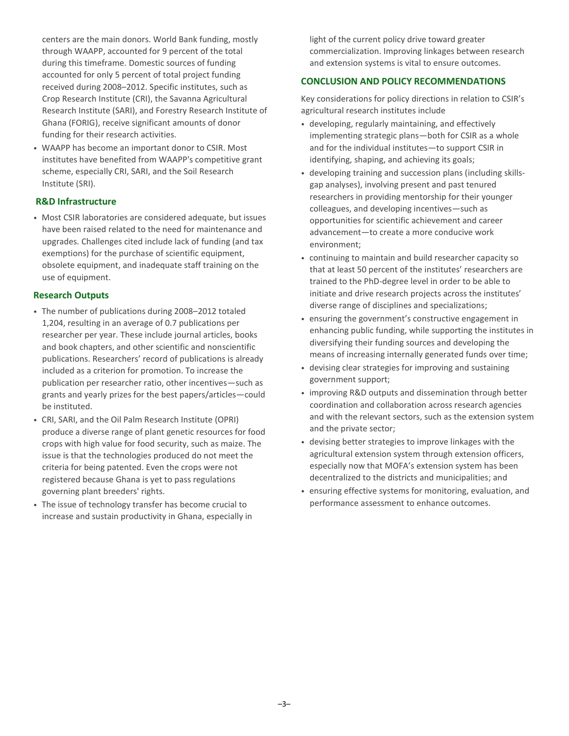centers are the main donors. World Bank funding, mostly through WAAPP, accounted for 9 percent of the total during this timeframe. Domestic sources of funding accounted for only 5 percent of total project funding received during 2008–2012. Specific institutes, such as Crop Research Institute (CRI), the Savanna Agricultural Research Institute (SARI), and Forestry Research Institute of Ghana (FORIG), receive significant amounts of donor funding for their research activities.

• WAAPP has become an important donor to CSIR. Most institutes have benefited from WAAPP's competitive grant scheme, especially CRI, SARI, and the Soil Research Institute (SRI).

# **R&D Infrastructure**

• Most CSIR laboratories are considered adequate, but issues have been raised related to the need for maintenance and upgrades. Challenges cited include lack of funding (and tax exemptions) for the purchase of scientific equipment, obsolete equipment, and inadequate staff training on the use of equipment.

# **Research Outputs**

- The number of publications during 2008–2012 totaled 1,204, resulting in an average of 0.7 publications per researcher per year. These include journal articles, books and book chapters, and other scientific and nonscientific publications. Researchers' record of publications is already included as a criterion for promotion. To increase the publication per researcher ratio, other incentives—such as grants and yearly prizes for the best papers/articles—could be instituted.
- CRI, SARI, and the Oil Palm Research Institute (OPRI) produce a diverse range of plant genetic resources for food crops with high value for food security, such as maize. The issue is that the technologies produced do not meet the criteria for being patented. Even the crops were not registered because Ghana is yet to pass regulations governing plant breeders' rights.
- The issue of technology transfer has become crucial to increase and sustain productivity in Ghana, especially in

light of the current policy drive toward greater commercialization. Improving linkages between research and extension systems is vital to ensure outcomes.

# **CONCLUSION AND POLICY RECOMMENDATIONS**

Key considerations for policy directions in relation to CSIR's agricultural research institutes include

- developing, regularly maintaining, and effectively implementing strategic plans—both for CSIR as a whole and for the individual institutes—to support CSIR in identifying, shaping, and achieving its goals;
- developing training and succession plans (including skillsgap analyses), involving present and past tenured researchers in providing mentorship for their younger colleagues, and developing incentives—such as opportunities for scientific achievement and career advancement—to create a more conducive work environment;
- continuing to maintain and build researcher capacity so that at least 50 percent of the institutes' researchers are trained to the PhD-degree level in order to be able to initiate and drive research projects across the institutes' diverse range of disciplines and specializations;
- ensuring the government's constructive engagement in enhancing public funding, while supporting the institutes in diversifying their funding sources and developing the means of increasing internally generated funds over time;
- devising clear strategies for improving and sustaining government support;
- improving R&D outputs and dissemination through better coordination and collaboration across research agencies and with the relevant sectors, such as the extension system and the private sector;
- devising better strategies to improve linkages with the agricultural extension system through extension officers, especially now that MOFA's extension system has been decentralized to the districts and municipalities; and
- ensuring effective systems for monitoring, evaluation, and performance assessment to enhance outcomes.